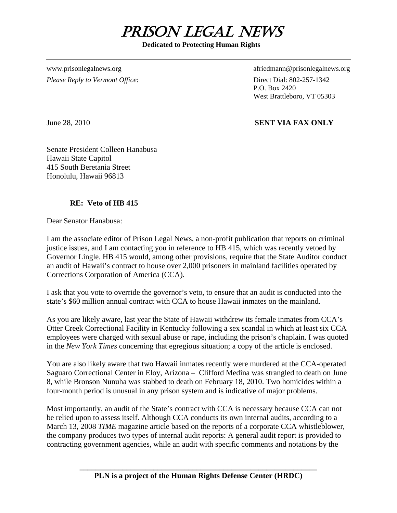# PRISON LEGAL NEWS

**Dedicated to Protecting Human Rights** 

*Please Reply to Vermont Office*: Direct Dial: 802-257-1342

[www.prisonlegalnews.org](http://www.prisonlegalnews.org/) afriedmann@prisonlegalnews.org afriedmann@prisonlegalnews.org P.O. Box 2420 West Brattleboro, VT 05303

# June 28, 2010 **SENT VIA FAX ONLY**

Senate President Colleen Hanabusa Hawaii State Capitol 415 South Beretania Street Honolulu, Hawaii 96813

# **RE: Veto of HB 415**

Dear Senator Hanabusa:

I am the associate editor of Prison Legal News, a non-profit publication that reports on criminal justice issues, and I am contacting you in reference to HB 415, which was recently vetoed by Governor Lingle. HB 415 would, among other provisions, require that the State Auditor conduct an audit of Hawaii's contract to house over 2,000 prisoners in mainland facilities operated by Corrections Corporation of America (CCA).

I ask that you vote to override the governor's veto, to ensure that an audit is conducted into the state's \$60 million annual contract with CCA to house Hawaii inmates on the mainland.

As you are likely aware, last year the State of Hawaii withdrew its female inmates from CCA's Otter Creek Correctional Facility in Kentucky following a sex scandal in which at least six CCA employees were charged with sexual abuse or rape, including the prison's chaplain. I was quoted in the *New York Times* concerning that egregious situation; a copy of the article is enclosed.

You are also likely aware that two Hawaii inmates recently were murdered at the CCA-operated Saguaro Correctional Center in Eloy, Arizona – Clifford Medina was strangled to death on June 8, while Bronson Nunuha was stabbed to death on February 18, 2010. Two homicides within a four-month period is unusual in any prison system and is indicative of major problems.

Most importantly, an audit of the State's contract with CCA is necessary because CCA can not be relied upon to assess itself. Although CCA conducts its own internal audits, according to a March 13, 2008 *TIME* magazine article based on the reports of a corporate CCA whistleblower, the company produces two types of internal audit reports: A general audit report is provided to contracting government agencies, while an audit with specific comments and notations by the

 **\_\_\_\_\_\_\_\_\_\_\_\_\_\_\_\_\_\_\_\_\_\_\_\_\_\_\_\_\_\_\_\_\_\_\_\_\_\_\_\_\_\_\_\_\_\_\_\_\_\_\_\_\_\_\_\_\_\_\_\_\_**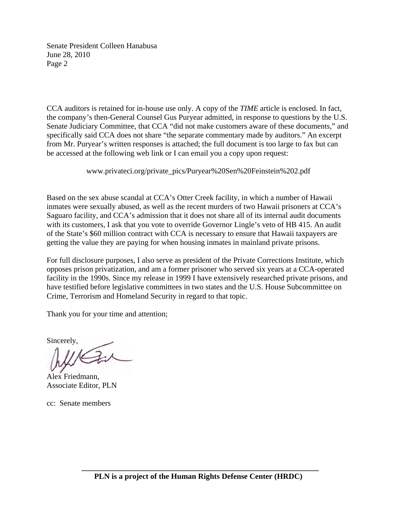Senate President Colleen Hanabusa June 28, 2010 Page 2

CCA auditors is retained for in-house use only. A copy of the *TIME* article is enclosed. In fact, the company's then-General Counsel Gus Puryear admitted, in response to questions by the U.S. Senate Judiciary Committee, that CCA "did not make customers aware of these documents," and specifically said CCA does not share "the separate commentary made by auditors." An excerpt from Mr. Puryear's written responses is attached; the full document is too large to fax but can be accessed at the following web link or I can email you a copy upon request:

www.privateci.org/private\_pics/Puryear%20Sen%20Feinstein%202.pdf

Based on the sex abuse scandal at CCA's Otter Creek facility, in which a number of Hawaii inmates were sexually abused, as well as the recent murders of two Hawaii prisoners at CCA's Saguaro facility, and CCA's admission that it does not share all of its internal audit documents with its customers, I ask that you vote to override Governor Lingle's veto of HB 415. An audit of the State's \$60 million contract with CCA is necessary to ensure that Hawaii taxpayers are getting the value they are paying for when housing inmates in mainland private prisons.

For full disclosure purposes, I also serve as president of the Private Corrections Institute, which opposes prison privatization, and am a former prisoner who served six years at a CCA-operated facility in the 1990s. Since my release in 1999 I have extensively researched private prisons, and have testified before legislative committees in two states and the U.S. House Subcommittee on Crime, Terrorism and Homeland Security in regard to that topic.

Thank you for your time and attention;

Sincerely,

Alex Friedmann, Associate Editor, PLN

cc: Senate members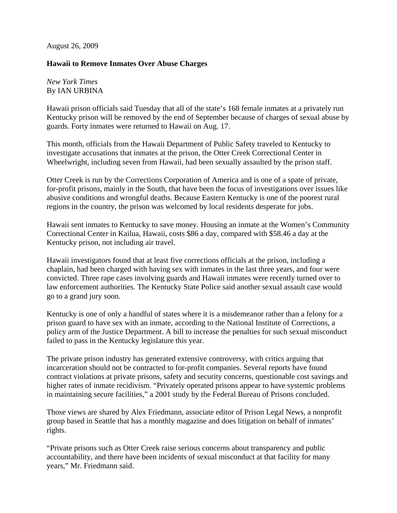August 26, 2009

# **Hawaii to Remove Inmates Over Abuse Charges**

*New York Times*  By IAN URBINA

Hawaii prison officials said Tuesday that all of the state's 168 female inmates at a privately run Kentucky prison will be removed by the end of September because of charges of sexual abuse by guards. Forty inmates were returned to Hawaii on Aug. 17.

This month, officials from the Hawaii Department of Public Safety traveled to Kentucky to investigate accusations that inmates at the prison, the Otter Creek Correctional Center in Wheelwright, including seven from Hawaii, had been sexually assaulted by the prison staff.

Otter Creek is run by the Corrections Corporation of America and is one of a spate of private, for-profit prisons, mainly in the South, that have been the focus of investigations over issues like abusive conditions and wrongful deaths. Because Eastern Kentucky is one of the poorest rural regions in the country, the prison was welcomed by local residents desperate for jobs.

Hawaii sent inmates to Kentucky to save money. Housing an inmate at the Women's Community Correctional Center in Kailua, Hawaii, costs \$86 a day, compared with \$58.46 a day at the Kentucky prison, not including air travel.

Hawaii investigators found that at least five corrections officials at the prison, including a chaplain, had been charged with having sex with inmates in the last three years, and four were convicted. Three rape cases involving guards and Hawaii inmates were recently turned over to law enforcement authorities. The Kentucky State Police said another sexual assault case would go to a grand jury soon.

Kentucky is one of only a handful of states where it is a misdemeanor rather than a felony for a prison guard to have sex with an inmate, according to the National Institute of Corrections, a policy arm of the Justice Department. A bill to increase the penalties for such sexual misconduct failed to pass in the Kentucky legislature this year.

The private prison industry has generated extensive controversy, with critics arguing that incarceration should not be contracted to for-profit companies. Several reports have found contract violations at private prisons, safety and security concerns, questionable cost savings and higher rates of inmate recidivism. "Privately operated prisons appear to have systemic problems in maintaining secure facilities," a 2001 study by the Federal Bureau of Prisons concluded.

Those views are shared by Alex Friedmann, associate editor of Prison Legal News, a nonprofit group based in Seattle that has a monthly magazine and does litigation on behalf of inmates' rights.

"Private prisons such as Otter Creek raise serious concerns about transparency and public accountability, and there have been incidents of sexual misconduct at that facility for many years," Mr. Friedmann said.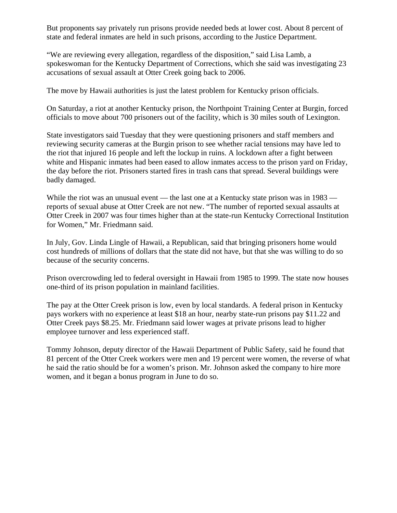But proponents say privately run prisons provide needed beds at lower cost. About 8 percent of state and federal inmates are held in such prisons, according to the Justice Department.

"We are reviewing every allegation, regardless of the disposition," said Lisa Lamb, a spokeswoman for the Kentucky Department of Corrections, which she said was investigating 23 accusations of sexual assault at Otter Creek going back to 2006.

The move by Hawaii authorities is just the latest problem for Kentucky prison officials.

On Saturday, a riot at another Kentucky prison, the Northpoint Training Center at Burgin, forced officials to move about 700 prisoners out of the facility, which is 30 miles south of Lexington.

State investigators said Tuesday that they were questioning prisoners and staff members and reviewing security cameras at the Burgin prison to see whether racial tensions may have led to the riot that injured 16 people and left the lockup in ruins. A lockdown after a fight between white and Hispanic inmates had been eased to allow inmates access to the prison yard on Friday, the day before the riot. Prisoners started fires in trash cans that spread. Several buildings were badly damaged.

While the riot was an unusual event — the last one at a Kentucky state prison was in 1983 reports of sexual abuse at Otter Creek are not new. "The number of reported sexual assaults at Otter Creek in 2007 was four times higher than at the state-run Kentucky Correctional Institution for Women," Mr. Friedmann said.

In July, Gov. Linda Lingle of Hawaii, a Republican, said that bringing prisoners home would cost hundreds of millions of dollars that the state did not have, but that she was willing to do so because of the security concerns.

Prison overcrowding led to federal oversight in Hawaii from 1985 to 1999. The state now houses one-third of its prison population in mainland facilities.

The pay at the Otter Creek prison is low, even by local standards. A federal prison in Kentucky pays workers with no experience at least \$18 an hour, nearby state-run prisons pay \$11.22 and Otter Creek pays \$8.25. Mr. Friedmann said lower wages at private prisons lead to higher employee turnover and less experienced staff.

Tommy Johnson, deputy director of the Hawaii Department of Public Safety, said he found that 81 percent of the Otter Creek workers were men and 19 percent were women, the reverse of what he said the ratio should be for a women's prison. Mr. Johnson asked the company to hire more women, and it began a bonus program in June to do so.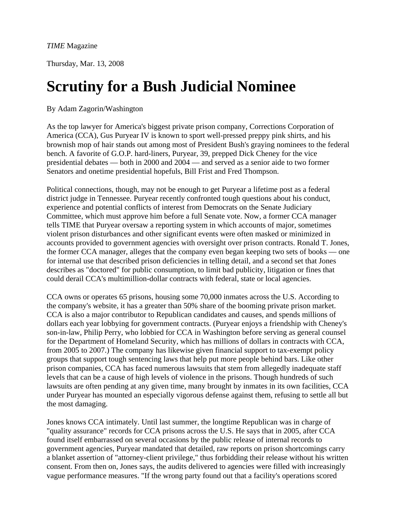Thursday, Mar. 13, 2008

# **Scrutiny for a Bush Judicial Nominee**

# By Adam Zagorin/Washington

As the top lawyer for America's biggest private prison company, Corrections Corporation of America (CCA), Gus Puryear IV is known to sport well-pressed preppy pink shirts, and his brownish mop of hair stands out among most of President Bush's graying nominees to the federal bench. A favorite of G.O.P. hard-liners, Puryear, 39, prepped Dick Cheney for the vice presidential debates — both in 2000 and 2004 — and served as a senior aide to two former Senators and onetime presidential hopefuls, Bill Frist and Fred Thompson.

Political connections, though, may not be enough to get Puryear a lifetime post as a federal district judge in Tennessee. Puryear recently confronted tough questions about his conduct, experience and potential conflicts of interest from Democrats on the Senate Judiciary Committee, which must approve him before a full Senate vote. Now, a former CCA manager tells TIME that Puryear oversaw a reporting system in which accounts of major, sometimes violent prison disturbances and other significant events were often masked or minimized in accounts provided to government agencies with oversight over prison contracts. Ronald T. Jones, the former CCA manager, alleges that the company even began keeping two sets of books — one for internal use that described prison deficiencies in telling detail, and a second set that Jones describes as "doctored" for public consumption, to limit bad publicity, litigation or fines that could derail CCA's multimillion-dollar contracts with federal, state or local agencies.

CCA owns or operates 65 prisons, housing some 70,000 inmates across the U.S. According to the company's website, it has a greater than 50% share of the booming private prison market. CCA is also a major contributor to Republican candidates and causes, and spends millions of dollars each year lobbying for government contracts. (Puryear enjoys a friendship with Cheney's son-in-law, Philip Perry, who lobbied for CCA in Washington before serving as general counsel for the Department of Homeland Security, which has millions of dollars in contracts with CCA, from 2005 to 2007.) The company has likewise given financial support to tax-exempt policy groups that support tough sentencing laws that help put more people behind bars. Like other prison companies, CCA has faced numerous lawsuits that stem from allegedly inadequate staff levels that can be a cause of high levels of violence in the prisons. Though hundreds of such lawsuits are often pending at any given time, many brought by inmates in its own facilities, CCA under Puryear has mounted an especially vigorous defense against them, refusing to settle all but the most damaging.

Jones knows CCA intimately. Until last summer, the longtime Republican was in charge of "quality assurance" records for CCA prisons across the U.S. He says that in 2005, after CCA found itself embarrassed on several occasions by the public release of internal records to government agencies, Puryear mandated that detailed, raw reports on prison shortcomings carry a blanket assertion of "attorney-client privilege," thus forbidding their release without his written consent. From then on, Jones says, the audits delivered to agencies were filled with increasingly vague performance measures. "If the wrong party found out that a facility's operations scored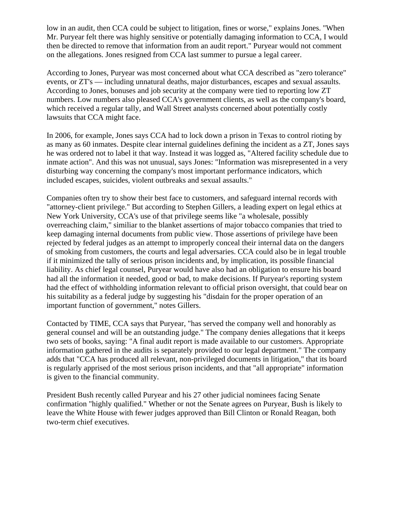low in an audit, then CCA could be subject to litigation, fines or worse," explains Jones. "When Mr. Puryear felt there was highly sensitive or potentially damaging information to CCA, I would then be directed to remove that information from an audit report." Puryear would not comment on the allegations. Jones resigned from CCA last summer to pursue a legal career.

According to Jones, Puryear was most concerned about what CCA described as "zero tolerance" events, or ZT's — including unnatural deaths, major disturbances, escapes and sexual assaults. According to Jones, bonuses and job security at the company were tied to reporting low ZT numbers. Low numbers also pleased CCA's government clients, as well as the company's board, which received a regular tally, and Wall Street analysts concerned about potentially costly lawsuits that CCA might face.

In 2006, for example, Jones says CCA had to lock down a prison in Texas to control rioting by as many as 60 inmates. Despite clear internal guidelines defining the incident as a ZT, Jones says he was ordered not to label it that way. Instead it was logged as, "Altered facility schedule due to inmate action". And this was not unusual, says Jones: "Information was misrepresented in a very disturbing way concerning the company's most important performance indicators, which included escapes, suicides, violent outbreaks and sexual assaults."

Companies often try to show their best face to customers, and safeguard internal records with "attorney-client privilege." But according to Stephen Gillers, a leading expert on legal ethics at New York University, CCA's use of that privilege seems like "a wholesale, possibly overreaching claim," similiar to the blanket assertions of major tobacco companies that tried to keep damaging internal documents from public view. Those assertions of privilege have been rejected by federal judges as an attempt to improperly conceal their internal data on the dangers of smoking from customers, the courts and legal adversaries. CCA could also be in legal trouble if it minimized the tally of serious prison incidents and, by implication, its possible financial liability. As chief legal counsel, Puryear would have also had an obligation to ensure his board had all the information it needed, good or bad, to make decisions. If Puryear's reporting system had the effect of withholding information relevant to official prison oversight, that could bear on his suitability as a federal judge by suggesting his "disdain for the proper operation of an important function of government," notes Gillers.

Contacted by TIME, CCA says that Puryear, "has served the company well and honorably as general counsel and will be an outstanding judge." The company denies allegations that it keeps two sets of books, saying: "A final audit report is made available to our customers. Appropriate information gathered in the audits is separately provided to our legal department." The company adds that "CCA has produced all relevant, non-privileged documents in litigation," that its board is regularly apprised of the most serious prison incidents, and that "all appropriate" information is given to the financial community.

President Bush recently called Puryear and his 27 other judicial nominees facing Senate confirmation "highly qualified." Whether or not the Senate agrees on Puryear, Bush is likely to leave the White House with fewer judges approved than Bill Clinton or Ronald Reagan, both two-term chief executives.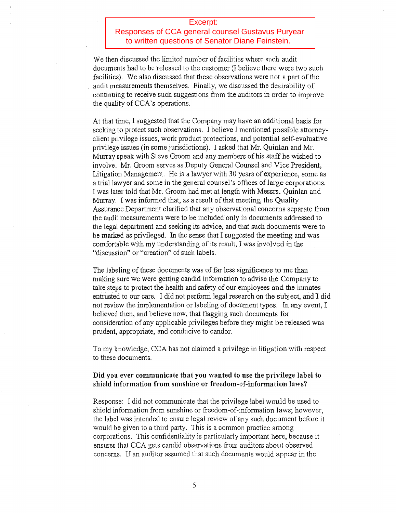#### Excerpt:

# Responses of CCA general counsel Gustavus Puryear to written questions of Senator Diane Feinstein.

We then discussed the limited number of facilities where such audit documents had to be released to the customer (I believe there were two such facilities). We also discussed that these observations were not a part of the audit measurements themselves. Finally, we discussed the desirability of continuing to receive such suggestions from the auditors in order to improve the quality of CCA's operations.

At that time, I suggested that the Company may have an additional basis for seeking to protect such observations. I believe I mentioned possible attorneyclient privilege issues, work product protections, and potential self-evaluative privilege issues (in some jurisdictions). I asked that Mr. Quinlan and Mr. Murray speak with Steve Groom and any members of his staff he wished to involve. Mr. Groom serves as Deputy General Counsel and Vice President, Litigation Management. He is a lawyer with 30 years of experience, some as a trial lawyer and some in the general counsel's offices of large corporations. I was later told that Mr. Groom had met at length with Messrs. Quinlan and Murray. I was informed that, as a result of that meeting, the Quality Assurance Department clarified that any observational concerns separate from the audit measurements were to be included only in documents addressed to the legal department and seeking its advice, and that such documents were to be marked as privileged. In the sense that I suggested the meeting and was comfortable with my understanding of its result, I was involved in the "discussion" or "creation" of such labels.

The labeling of these documents was of far less significance to me than making sure we were getting candid information to advise the Company to take steps to protect the health and safety of our employees and the inmates entrusted to our care. I did not perform legal research on the subject, and I did not review the implementation or labeling of document types. In any event, I believed then, and believe now, that flagging such documents for consideration of any applicable privileges before they might be released was prudent, appropriate, and conducive to candor.

To my knowledge, CCA has not claimed a privilege in litigation with respect to these documents.

# Did you ever communicate that you wanted to use the privilege label to shield information from sunshine or freedom-of-information laws?

Response: I did not communicate that the privilege label would be used to shield information from sunshine or freedom-of-information laws; however, the label was intended to ensure legal review of any such document before it would be given to a third party. This is a common practice among corporations. This confidentiality is particularly important here, because it ensures that CCA gets candid observations from auditors about observed concerns. If an auditor assumed that such docwnents would appear in the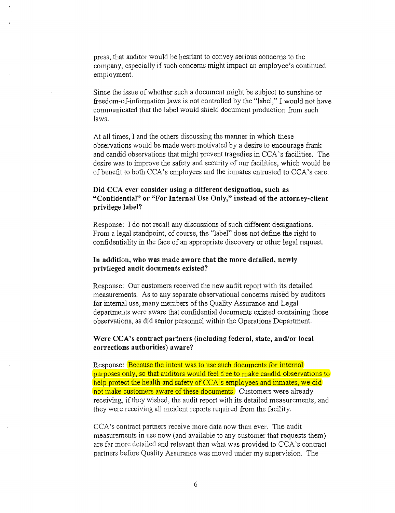press, that auditor would be hesitant to convey serious concerns to the company, especially if such concerns might impact an employee's continued employment.

Since the issue of whether such a document might be subject to sunshine or freedom-of-information laws is not controlled by the "label," I would not have communicated that the label would shield document production from such laws.

At all times, I and the others discussing the manner in which these observations would be made were motivated by a desire to encourage frank and candid observations that might prevent tragedies in CCA's facilities. The desire was to improve the safety and security of our facilities, which would be of benefit to both CCA's employees and the inmates entrusted to CCA's care.

# **Did** CCA ever consider using a different designation, such as "Confidential" or "For Internal Use Only," instead of the attorney-client privilege label?

Response: I do not recall any discussions of such different designations. From a legal standpoint, of course, the "label" does not define the right to confidentiality in the face of an appropriate discovery or other legal request.

# **In** addition, who was made aware that the more detailed, newly privileged audit documents existed?

Response: Our customers received the new audit report with its detailed measurements. As to any separate observational concerns raised by auditors for internal use, many members of the Quality Assurance and Legal departments were aware that confidential documents existed containing those observations, as did senior personnel within the Operations Department.

# Were CCA's contract partners (including federal, state, and/or local corrections authorities) aware?

Response: Because the intent was to use such documents for internal purposes only, so that auditors would feel free to make candid observations to help protect the health and safety of CCA's employees and inmates, we did not make customers aware of these documents. Customers were already receiving, if they wished, the audit report with its detailed measurements, and they were receiving all incident reports required from the facility.

CCA's contract partners receive more data now than ever. The audit measurements in use now (and available to any customer that requests them) are far more detailed and relevant than what was provided to CCA's contract partners before Quality Assurance was moved under my supervision. The